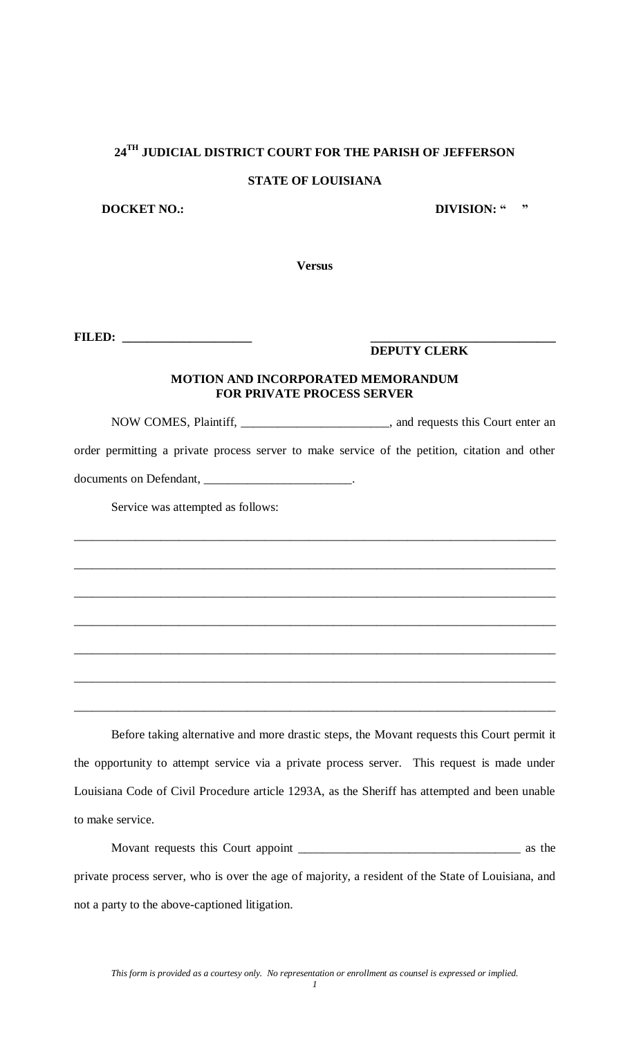# **24TH JUDICIAL DISTRICT COURT FOR THE PARISH OF JEFFERSON**

#### **STATE OF LOUISIANA**

**DOCKET NO.: DIVISION: " "** 

**Versus**

**FILED: \_\_\_\_\_\_\_\_\_\_\_\_\_\_\_\_\_\_\_\_\_ \_\_\_\_\_\_\_\_\_\_\_\_\_\_\_\_\_\_\_\_\_\_\_\_\_\_\_\_\_\_**

### **DEPUTY CLERK**

#### **MOTION AND INCORPORATED MEMORANDUM FOR PRIVATE PROCESS SERVER**

NOW COMES, Plaintiff, \_\_\_\_\_\_\_\_\_\_\_\_\_\_\_\_\_\_\_\_\_\_\_\_, and requests this Court enter an order permitting a private process server to make service of the petition, citation and other documents on Defendant, \_\_\_\_\_\_\_\_\_\_\_\_\_\_\_\_\_\_\_\_\_\_\_\_\_\_\_\_\_.

\_\_\_\_\_\_\_\_\_\_\_\_\_\_\_\_\_\_\_\_\_\_\_\_\_\_\_\_\_\_\_\_\_\_\_\_\_\_\_\_\_\_\_\_\_\_\_\_\_\_\_\_\_\_\_\_\_\_\_\_\_\_\_\_\_\_\_\_\_\_\_\_\_\_\_\_\_\_

\_\_\_\_\_\_\_\_\_\_\_\_\_\_\_\_\_\_\_\_\_\_\_\_\_\_\_\_\_\_\_\_\_\_\_\_\_\_\_\_\_\_\_\_\_\_\_\_\_\_\_\_\_\_\_\_\_\_\_\_\_\_\_\_\_\_\_\_\_\_\_\_\_\_\_\_\_\_

\_\_\_\_\_\_\_\_\_\_\_\_\_\_\_\_\_\_\_\_\_\_\_\_\_\_\_\_\_\_\_\_\_\_\_\_\_\_\_\_\_\_\_\_\_\_\_\_\_\_\_\_\_\_\_\_\_\_\_\_\_\_\_\_\_\_\_\_\_\_\_\_\_\_\_\_\_\_

\_\_\_\_\_\_\_\_\_\_\_\_\_\_\_\_\_\_\_\_\_\_\_\_\_\_\_\_\_\_\_\_\_\_\_\_\_\_\_\_\_\_\_\_\_\_\_\_\_\_\_\_\_\_\_\_\_\_\_\_\_\_\_\_\_\_\_\_\_\_\_\_\_\_\_\_\_\_

\_\_\_\_\_\_\_\_\_\_\_\_\_\_\_\_\_\_\_\_\_\_\_\_\_\_\_\_\_\_\_\_\_\_\_\_\_\_\_\_\_\_\_\_\_\_\_\_\_\_\_\_\_\_\_\_\_\_\_\_\_\_\_\_\_\_\_\_\_\_\_\_\_\_\_\_\_\_

\_\_\_\_\_\_\_\_\_\_\_\_\_\_\_\_\_\_\_\_\_\_\_\_\_\_\_\_\_\_\_\_\_\_\_\_\_\_\_\_\_\_\_\_\_\_\_\_\_\_\_\_\_\_\_\_\_\_\_\_\_\_\_\_\_\_\_\_\_\_\_\_\_\_\_\_\_\_

\_\_\_\_\_\_\_\_\_\_\_\_\_\_\_\_\_\_\_\_\_\_\_\_\_\_\_\_\_\_\_\_\_\_\_\_\_\_\_\_\_\_\_\_\_\_\_\_\_\_\_\_\_\_\_\_\_\_\_\_\_\_\_\_\_\_\_\_\_\_\_\_\_\_\_\_\_\_

Service was attempted as follows:

Before taking alternative and more drastic steps, the Movant requests this Court permit it the opportunity to attempt service via a private process server. This request is made under Louisiana Code of Civil Procedure article 1293A, as the Sheriff has attempted and been unable to make service.

Movant requests this Court appoint \_\_\_\_\_\_\_\_\_\_\_\_\_\_\_\_\_\_\_\_\_\_\_\_\_\_\_\_\_\_\_\_\_\_\_\_ as the private process server, who is over the age of majority, a resident of the State of Louisiana, and not a party to the above-captioned litigation.